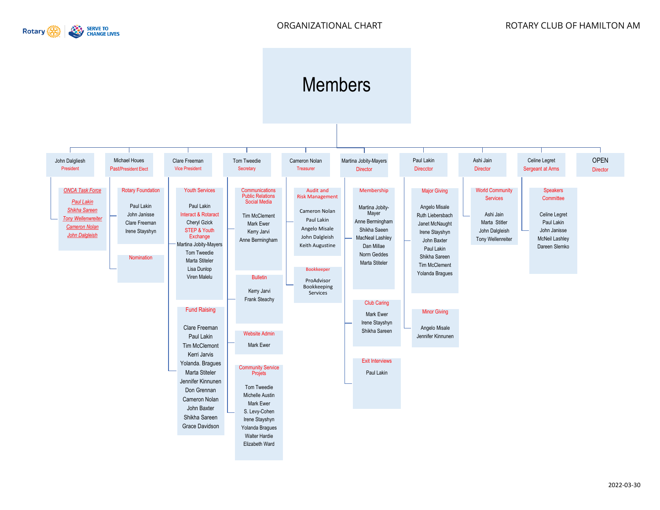

## Members